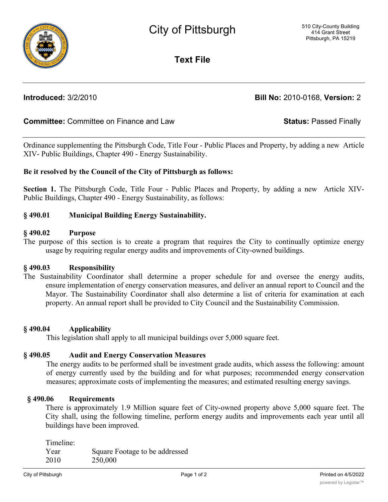**Text File**

**Introduced:** 3/2/2010 **Bill No:** 2010-0168, **Version:** 2

# **Committee:** Committee on Finance and Law **Status:** Passed Finally

Ordinance supplementing the Pittsburgh Code, Title Four - Public Places and Property, by adding a new Article XIV- Public Buildings, Chapter 490 - Energy Sustainability.

## **Be it resolved by the Council of the City of Pittsburgh as follows:**

**Section 1.** The Pittsburgh Code, Title Four - Public Places and Property, by adding a new Article XIV-Public Buildings, Chapter 490 - Energy Sustainability, as follows:

## **§ 490.01 Municipal Building Energy Sustainability.**

### **§ 490.02 Purpose**

The purpose of this section is to create a program that requires the City to continually optimize energy usage by requiring regular energy audits and improvements of City-owned buildings.

#### **§ 490.03 Responsibility**

The Sustainability Coordinator shall determine a proper schedule for and oversee the energy audits, ensure implementation of energy conservation measures, and deliver an annual report to Council and the Mayor. The Sustainability Coordinator shall also determine a list of criteria for examination at each property. An annual report shall be provided to City Council and the Sustainability Commission.

#### **§ 490.04 Applicability**

This legislation shall apply to all municipal buildings over 5,000 square feet.

# **§ 490.05 Audit and Energy Conservation Measures**

The energy audits to be performed shall be investment grade audits, which assess the following: amount of energy currently used by the building and for what purposes; recommended energy conservation measures; approximate costs of implementing the measures; and estimated resulting energy savings.

# **§ 490.06 Requirements**

There is approximately 1.9 Million square feet of City-owned property above 5,000 square feet. The City shall, using the following timeline, perform energy audits and improvements each year until all buildings have been improved.

Timeline: Year Square Footage to be addressed 2010 250,000